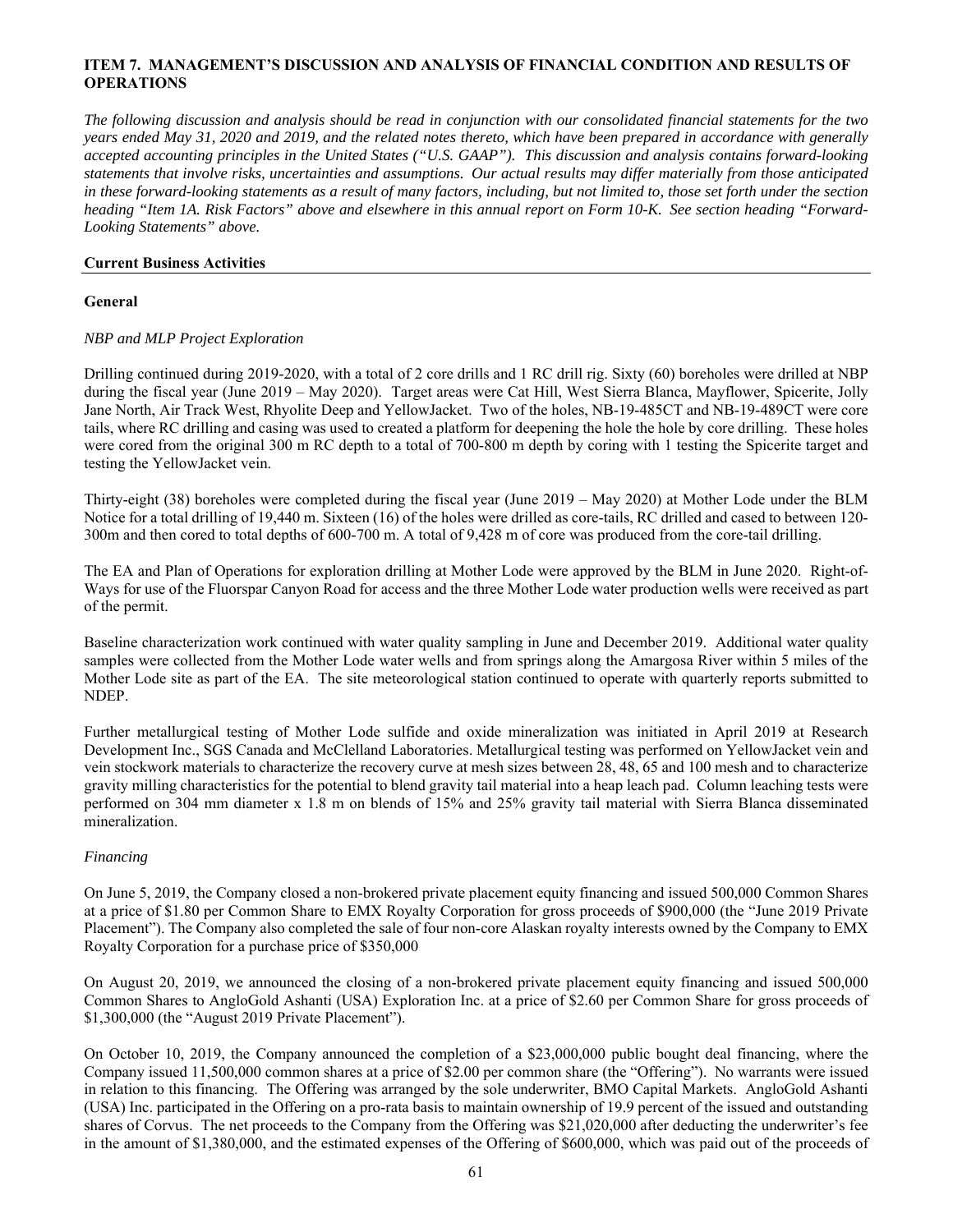## **ITEM 7. MANAGEMENT'S DISCUSSION AND ANALYSIS OF FINANCIAL CONDITION AND RESULTS OF OPERATIONS**

*The following discussion and analysis should be read in conjunction with our consolidated financial statements for the two years ended May 31, 2020 and 2019, and the related notes thereto, which have been prepared in accordance with generally accepted accounting principles in the United States ("U.S. GAAP"). This discussion and analysis contains forward-looking statements that involve risks, uncertainties and assumptions. Our actual results may differ materially from those anticipated in these forward-looking statements as a result of many factors, including, but not limited to, those set forth under the section heading "Item 1A. Risk Factors" above and elsewhere in this annual report on Form 10-K. See section heading "Forward-Looking Statements" above.*

### **Current Business Activities**

### **General**

## *NBP and MLP Project Exploration*

Drilling continued during 2019-2020, with a total of 2 core drills and 1 RC drill rig. Sixty (60) boreholes were drilled at NBP during the fiscal year (June 2019 – May 2020). Target areas were Cat Hill, West Sierra Blanca, Mayflower, Spicerite, Jolly Jane North, Air Track West, Rhyolite Deep and YellowJacket. Two of the holes, NB-19-485CT and NB-19-489CT were core tails, where RC drilling and casing was used to created a platform for deepening the hole the hole by core drilling. These holes were cored from the original 300 m RC depth to a total of 700-800 m depth by coring with 1 testing the Spicerite target and testing the YellowJacket vein.

Thirty-eight (38) boreholes were completed during the fiscal year (June 2019 – May 2020) at Mother Lode under the BLM Notice for a total drilling of 19,440 m. Sixteen (16) of the holes were drilled as core-tails, RC drilled and cased to between 120- 300m and then cored to total depths of 600-700 m. A total of 9,428 m of core was produced from the core-tail drilling.

The EA and Plan of Operations for exploration drilling at Mother Lode were approved by the BLM in June 2020. Right-of-Ways for use of the Fluorspar Canyon Road for access and the three Mother Lode water production wells were received as part of the permit.

Baseline characterization work continued with water quality sampling in June and December 2019. Additional water quality samples were collected from the Mother Lode water wells and from springs along the Amargosa River within 5 miles of the Mother Lode site as part of the EA. The site meteorological station continued to operate with quarterly reports submitted to NDEP.

Further metallurgical testing of Mother Lode sulfide and oxide mineralization was initiated in April 2019 at Research Development Inc., SGS Canada and McClelland Laboratories. Metallurgical testing was performed on YellowJacket vein and vein stockwork materials to characterize the recovery curve at mesh sizes between 28, 48, 65 and 100 mesh and to characterize gravity milling characteristics for the potential to blend gravity tail material into a heap leach pad. Column leaching tests were performed on 304 mm diameter x 1.8 m on blends of 15% and 25% gravity tail material with Sierra Blanca disseminated mineralization.

## *Financing*

On June 5, 2019, the Company closed a non-brokered private placement equity financing and issued 500,000 Common Shares at a price of \$1.80 per Common Share to EMX Royalty Corporation for gross proceeds of \$900,000 (the "June 2019 Private Placement"). The Company also completed the sale of four non-core Alaskan royalty interests owned by the Company to EMX Royalty Corporation for a purchase price of \$350,000

On August 20, 2019, we announced the closing of a non-brokered private placement equity financing and issued 500,000 Common Shares to AngloGold Ashanti (USA) Exploration Inc. at a price of \$2.60 per Common Share for gross proceeds of \$1,300,000 (the "August 2019 Private Placement").

On October 10, 2019, the Company announced the completion of a \$23,000,000 public bought deal financing, where the Company issued 11,500,000 common shares at a price of \$2.00 per common share (the "Offering"). No warrants were issued in relation to this financing. The Offering was arranged by the sole underwriter, BMO Capital Markets. AngloGold Ashanti (USA) Inc. participated in the Offering on a pro-rata basis to maintain ownership of 19.9 percent of the issued and outstanding shares of Corvus. The net proceeds to the Company from the Offering was \$21,020,000 after deducting the underwriter's fee in the amount of \$1,380,000, and the estimated expenses of the Offering of \$600,000, which was paid out of the proceeds of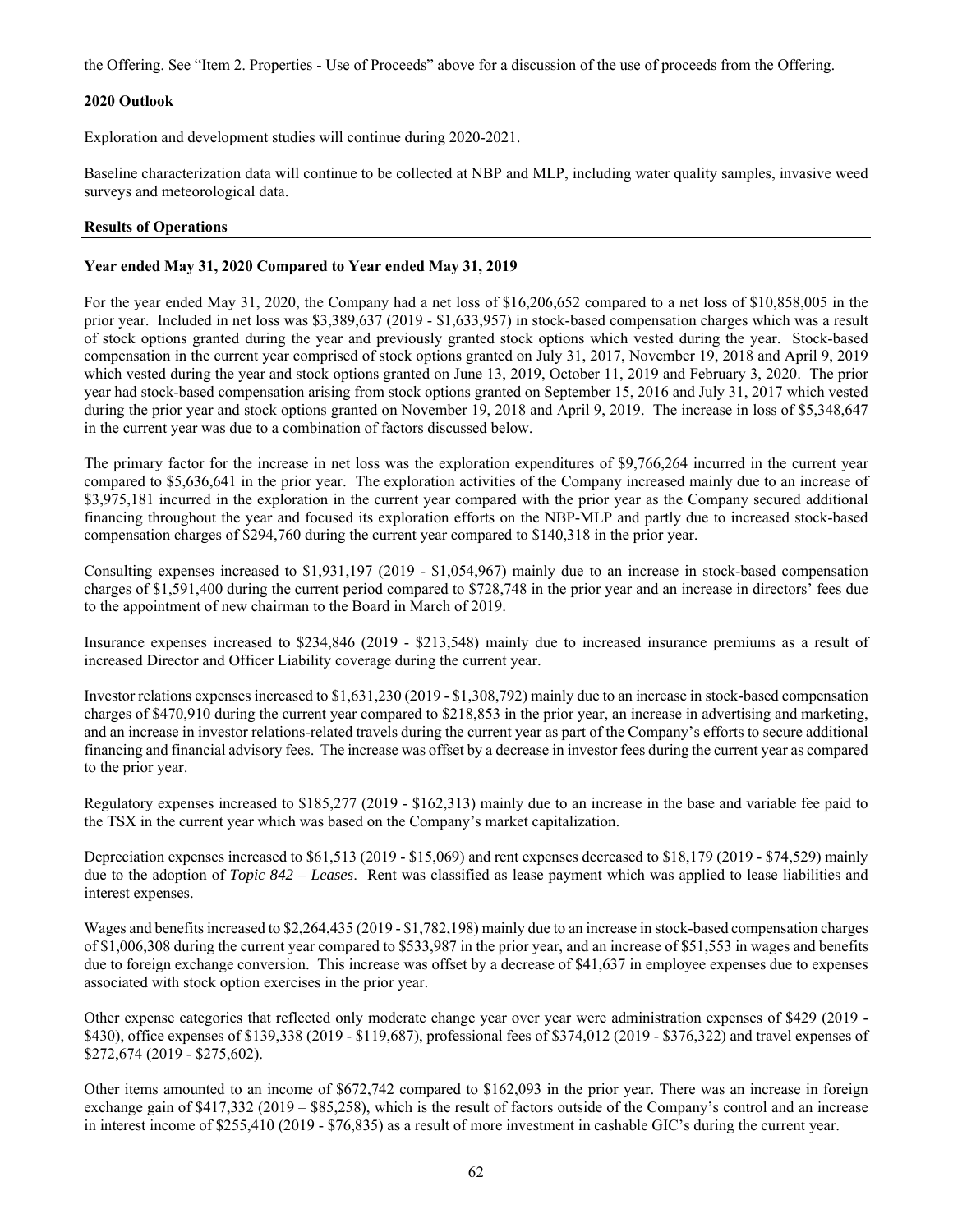the Offering. See "Item 2. Properties - Use of Proceeds" above for a discussion of the use of proceeds from the Offering.

### **2020 Outlook**

Exploration and development studies will continue during 2020-2021.

Baseline characterization data will continue to be collected at NBP and MLP, including water quality samples, invasive weed surveys and meteorological data.

### **Results of Operations**

### **Year ended May 31, 2020 Compared to Year ended May 31, 2019**

For the year ended May 31, 2020, the Company had a net loss of \$16,206,652 compared to a net loss of \$10,858,005 in the prior year. Included in net loss was \$3,389,637 (2019 - \$1,633,957) in stock-based compensation charges which was a result of stock options granted during the year and previously granted stock options which vested during the year. Stock-based compensation in the current year comprised of stock options granted on July 31, 2017, November 19, 2018 and April 9, 2019 which vested during the year and stock options granted on June 13, 2019, October 11, 2019 and February 3, 2020. The prior year had stock-based compensation arising from stock options granted on September 15, 2016 and July 31, 2017 which vested during the prior year and stock options granted on November 19, 2018 and April 9, 2019. The increase in loss of \$5,348,647 in the current year was due to a combination of factors discussed below.

The primary factor for the increase in net loss was the exploration expenditures of \$9,766,264 incurred in the current year compared to \$5,636,641 in the prior year. The exploration activities of the Company increased mainly due to an increase of \$3,975,181 incurred in the exploration in the current year compared with the prior year as the Company secured additional financing throughout the year and focused its exploration efforts on the NBP-MLP and partly due to increased stock-based compensation charges of \$294,760 during the current year compared to \$140,318 in the prior year.

Consulting expenses increased to \$1,931,197 (2019 - \$1,054,967) mainly due to an increase in stock-based compensation charges of \$1,591,400 during the current period compared to \$728,748 in the prior year and an increase in directors' fees due to the appointment of new chairman to the Board in March of 2019.

Insurance expenses increased to \$234,846 (2019 - \$213,548) mainly due to increased insurance premiums as a result of increased Director and Officer Liability coverage during the current year.

Investor relations expenses increased to \$1,631,230 (2019 - \$1,308,792) mainly due to an increase in stock-based compensation charges of \$470,910 during the current year compared to \$218,853 in the prior year, an increase in advertising and marketing, and an increase in investor relations-related travels during the current year as part of the Company's efforts to secure additional financing and financial advisory fees. The increase was offset by a decrease in investor fees during the current year as compared to the prior year.

Regulatory expenses increased to \$185,277 (2019 - \$162,313) mainly due to an increase in the base and variable fee paid to the TSX in the current year which was based on the Company's market capitalization.

Depreciation expenses increased to \$61,513 (2019 - \$15,069) and rent expenses decreased to \$18,179 (2019 - \$74,529) mainly due to the adoption of *Topic 842 – Leases*. Rent was classified as lease payment which was applied to lease liabilities and interest expenses.

Wages and benefits increased to \$2,264,435 (2019 - \$1,782,198) mainly due to an increase in stock-based compensation charges of \$1,006,308 during the current year compared to \$533,987 in the prior year, and an increase of \$51,553 in wages and benefits due to foreign exchange conversion. This increase was offset by a decrease of \$41,637 in employee expenses due to expenses associated with stock option exercises in the prior year.

Other expense categories that reflected only moderate change year over year were administration expenses of \$429 (2019 - \$430), office expenses of \$139,338 (2019 - \$119,687), professional fees of \$374,012 (2019 - \$376,322) and travel expenses of \$272,674 (2019 - \$275,602).

Other items amounted to an income of \$672,742 compared to \$162,093 in the prior year. There was an increase in foreign exchange gain of \$417,332 (2019 – \$85,258), which is the result of factors outside of the Company's control and an increase in interest income of \$255,410 (2019 - \$76,835) as a result of more investment in cashable GIC's during the current year.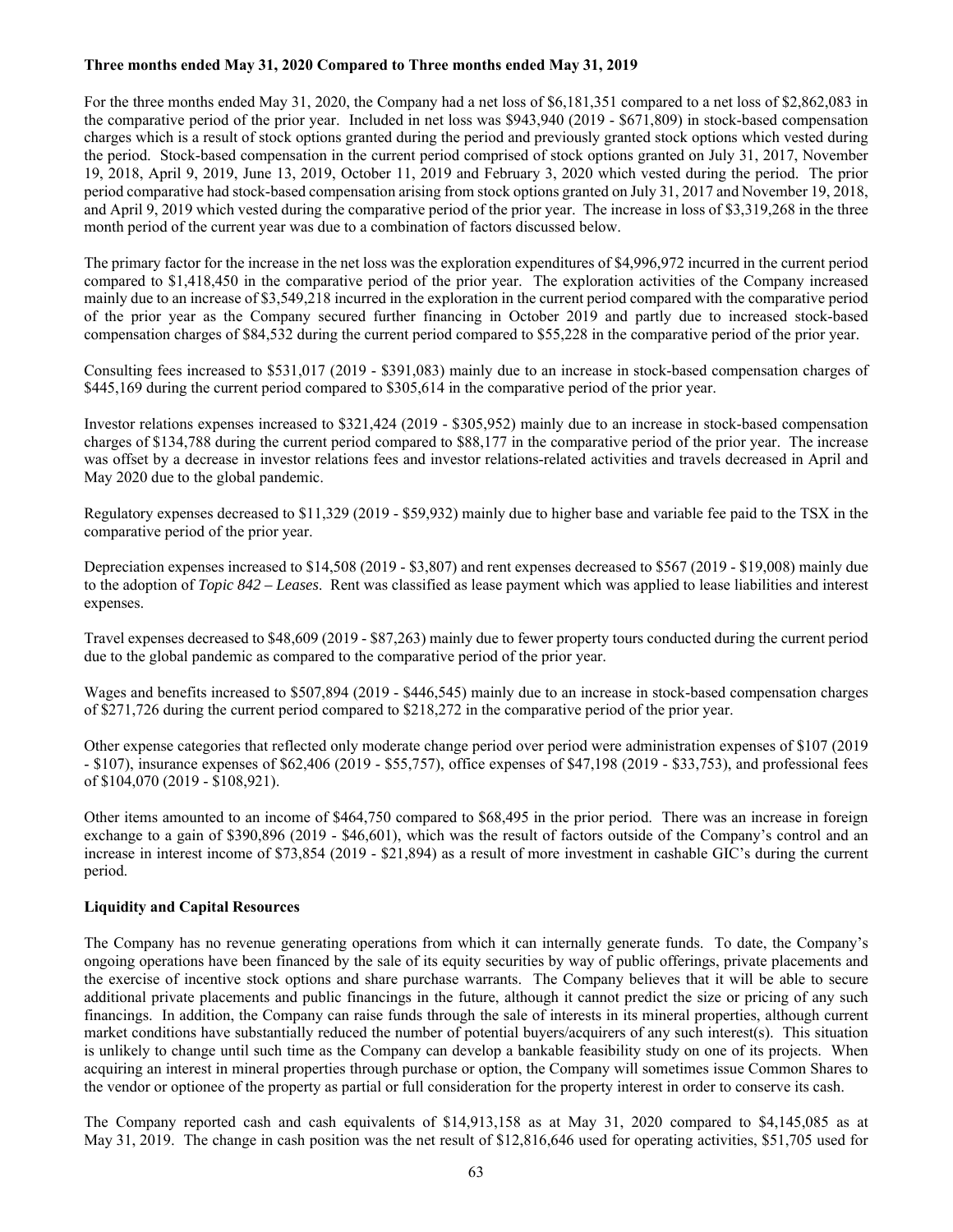## **Three months ended May 31, 2020 Compared to Three months ended May 31, 2019**

For the three months ended May 31, 2020, the Company had a net loss of \$6,181,351 compared to a net loss of \$2,862,083 in the comparative period of the prior year. Included in net loss was \$943,940 (2019 - \$671,809) in stock-based compensation charges which is a result of stock options granted during the period and previously granted stock options which vested during the period. Stock-based compensation in the current period comprised of stock options granted on July 31, 2017, November 19, 2018, April 9, 2019, June 13, 2019, October 11, 2019 and February 3, 2020 which vested during the period. The prior period comparative had stock-based compensation arising from stock options granted on July 31, 2017 and November 19, 2018, and April 9, 2019 which vested during the comparative period of the prior year. The increase in loss of \$3,319,268 in the three month period of the current year was due to a combination of factors discussed below.

The primary factor for the increase in the net loss was the exploration expenditures of \$4,996,972 incurred in the current period compared to \$1,418,450 in the comparative period of the prior year. The exploration activities of the Company increased mainly due to an increase of \$3,549,218 incurred in the exploration in the current period compared with the comparative period of the prior year as the Company secured further financing in October 2019 and partly due to increased stock-based compensation charges of \$84,532 during the current period compared to \$55,228 in the comparative period of the prior year.

Consulting fees increased to \$531,017 (2019 - \$391,083) mainly due to an increase in stock-based compensation charges of \$445,169 during the current period compared to \$305,614 in the comparative period of the prior year.

Investor relations expenses increased to \$321,424 (2019 - \$305,952) mainly due to an increase in stock-based compensation charges of \$134,788 during the current period compared to \$88,177 in the comparative period of the prior year. The increase was offset by a decrease in investor relations fees and investor relations-related activities and travels decreased in April and May 2020 due to the global pandemic.

Regulatory expenses decreased to \$11,329 (2019 - \$59,932) mainly due to higher base and variable fee paid to the TSX in the comparative period of the prior year.

Depreciation expenses increased to \$14,508 (2019 - \$3,807) and rent expenses decreased to \$567 (2019 - \$19,008) mainly due to the adoption of *Topic 842 – Leases*. Rent was classified as lease payment which was applied to lease liabilities and interest expenses.

Travel expenses decreased to \$48,609 (2019 - \$87,263) mainly due to fewer property tours conducted during the current period due to the global pandemic as compared to the comparative period of the prior year.

Wages and benefits increased to \$507,894 (2019 - \$446,545) mainly due to an increase in stock-based compensation charges of \$271,726 during the current period compared to \$218,272 in the comparative period of the prior year.

Other expense categories that reflected only moderate change period over period were administration expenses of \$107 (2019 - \$107), insurance expenses of \$62,406 (2019 - \$55,757), office expenses of \$47,198 (2019 - \$33,753), and professional fees of \$104,070 (2019 - \$108,921).

Other items amounted to an income of \$464,750 compared to \$68,495 in the prior period. There was an increase in foreign exchange to a gain of \$390,896 (2019 - \$46,601), which was the result of factors outside of the Company's control and an increase in interest income of \$73,854 (2019 - \$21,894) as a result of more investment in cashable GIC's during the current period.

## **Liquidity and Capital Resources**

The Company has no revenue generating operations from which it can internally generate funds. To date, the Company's ongoing operations have been financed by the sale of its equity securities by way of public offerings, private placements and the exercise of incentive stock options and share purchase warrants. The Company believes that it will be able to secure additional private placements and public financings in the future, although it cannot predict the size or pricing of any such financings. In addition, the Company can raise funds through the sale of interests in its mineral properties, although current market conditions have substantially reduced the number of potential buyers/acquirers of any such interest(s). This situation is unlikely to change until such time as the Company can develop a bankable feasibility study on one of its projects. When acquiring an interest in mineral properties through purchase or option, the Company will sometimes issue Common Shares to the vendor or optionee of the property as partial or full consideration for the property interest in order to conserve its cash.

The Company reported cash and cash equivalents of \$14,913,158 as at May 31, 2020 compared to \$4,145,085 as at May 31, 2019. The change in cash position was the net result of \$12,816,646 used for operating activities, \$51,705 used for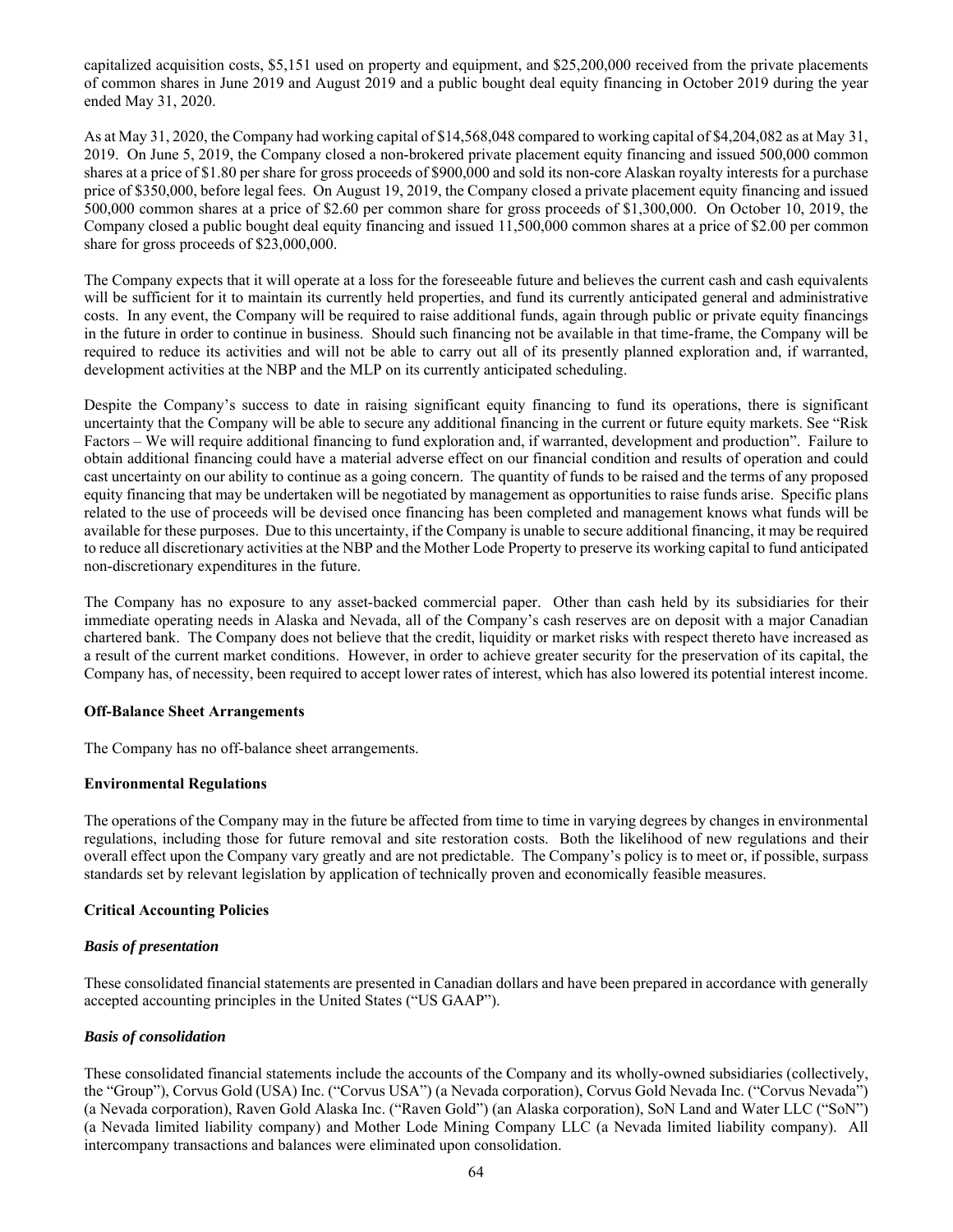capitalized acquisition costs, \$5,151 used on property and equipment, and \$25,200,000 received from the private placements of common shares in June 2019 and August 2019 and a public bought deal equity financing in October 2019 during the year ended May 31, 2020.

As at May 31, 2020, the Company had working capital of \$14,568,048 compared to working capital of \$4,204,082 as at May 31, 2019. On June 5, 2019, the Company closed a non-brokered private placement equity financing and issued 500,000 common shares at a price of \$1.80 per share for gross proceeds of \$900,000 and sold its non-core Alaskan royalty interests for a purchase price of \$350,000, before legal fees. On August 19, 2019, the Company closed a private placement equity financing and issued 500,000 common shares at a price of \$2.60 per common share for gross proceeds of \$1,300,000. On October 10, 2019, the Company closed a public bought deal equity financing and issued 11,500,000 common shares at a price of \$2.00 per common share for gross proceeds of \$23,000,000.

The Company expects that it will operate at a loss for the foreseeable future and believes the current cash and cash equivalents will be sufficient for it to maintain its currently held properties, and fund its currently anticipated general and administrative costs. In any event, the Company will be required to raise additional funds, again through public or private equity financings in the future in order to continue in business. Should such financing not be available in that time-frame, the Company will be required to reduce its activities and will not be able to carry out all of its presently planned exploration and, if warranted, development activities at the NBP and the MLP on its currently anticipated scheduling.

Despite the Company's success to date in raising significant equity financing to fund its operations, there is significant uncertainty that the Company will be able to secure any additional financing in the current or future equity markets. See "Risk Factors – We will require additional financing to fund exploration and, if warranted, development and production". Failure to obtain additional financing could have a material adverse effect on our financial condition and results of operation and could cast uncertainty on our ability to continue as a going concern. The quantity of funds to be raised and the terms of any proposed equity financing that may be undertaken will be negotiated by management as opportunities to raise funds arise. Specific plans related to the use of proceeds will be devised once financing has been completed and management knows what funds will be available for these purposes. Due to this uncertainty, if the Company is unable to secure additional financing, it may be required to reduce all discretionary activities at the NBP and the Mother Lode Property to preserve its working capital to fund anticipated non-discretionary expenditures in the future.

The Company has no exposure to any asset-backed commercial paper. Other than cash held by its subsidiaries for their immediate operating needs in Alaska and Nevada, all of the Company's cash reserves are on deposit with a major Canadian chartered bank. The Company does not believe that the credit, liquidity or market risks with respect thereto have increased as a result of the current market conditions. However, in order to achieve greater security for the preservation of its capital, the Company has, of necessity, been required to accept lower rates of interest, which has also lowered its potential interest income.

## **Off-Balance Sheet Arrangements**

The Company has no off-balance sheet arrangements.

## **Environmental Regulations**

The operations of the Company may in the future be affected from time to time in varying degrees by changes in environmental regulations, including those for future removal and site restoration costs. Both the likelihood of new regulations and their overall effect upon the Company vary greatly and are not predictable. The Company's policy is to meet or, if possible, surpass standards set by relevant legislation by application of technically proven and economically feasible measures.

## **Critical Accounting Policies**

#### *Basis of presentation*

These consolidated financial statements are presented in Canadian dollars and have been prepared in accordance with generally accepted accounting principles in the United States ("US GAAP").

## *Basis of consolidation*

These consolidated financial statements include the accounts of the Company and its wholly-owned subsidiaries (collectively, the "Group"), Corvus Gold (USA) Inc. ("Corvus USA") (a Nevada corporation), Corvus Gold Nevada Inc. ("Corvus Nevada") (a Nevada corporation), Raven Gold Alaska Inc. ("Raven Gold") (an Alaska corporation), SoN Land and Water LLC ("SoN") (a Nevada limited liability company) and Mother Lode Mining Company LLC (a Nevada limited liability company). All intercompany transactions and balances were eliminated upon consolidation.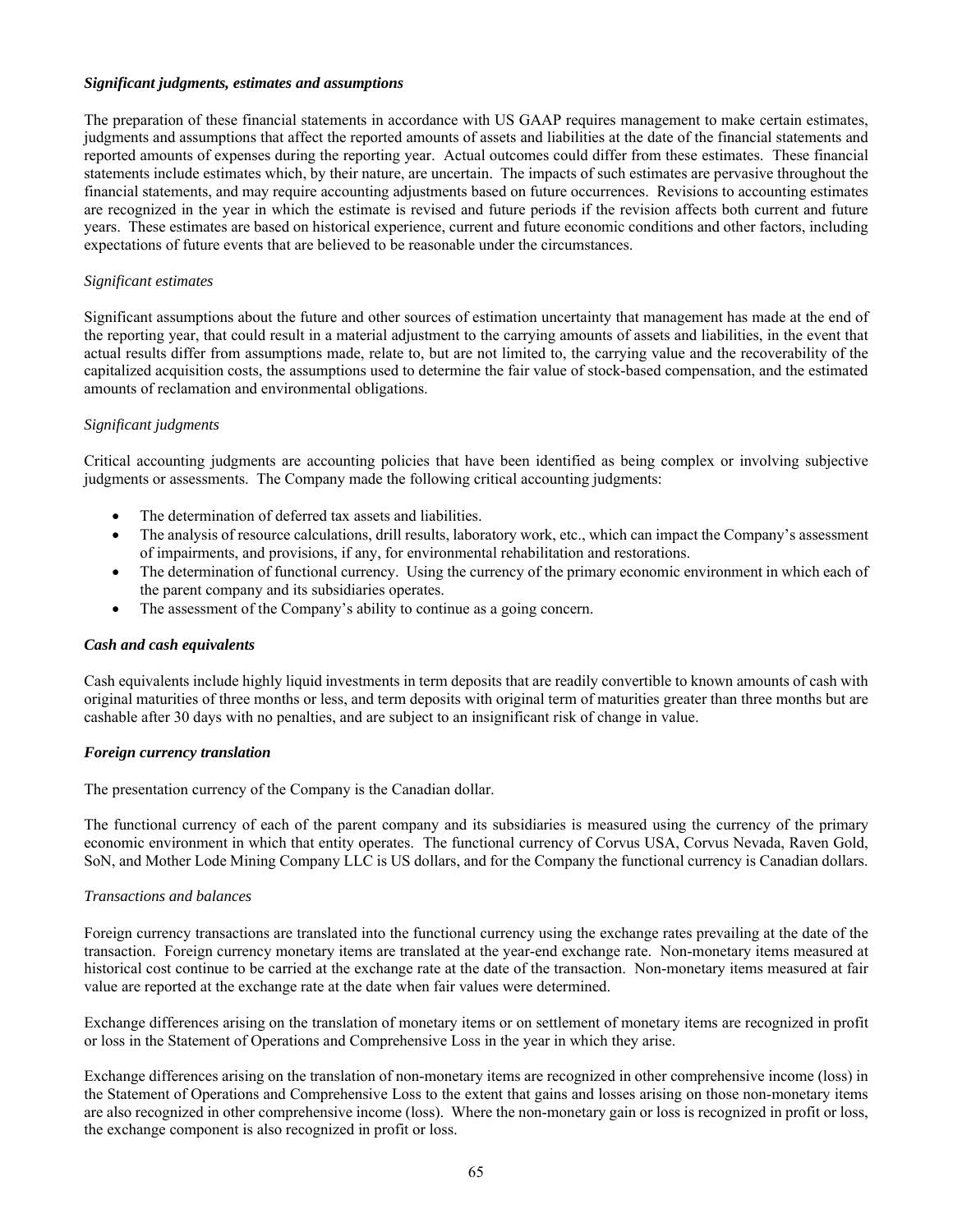#### *Significant judgments, estimates and assumptions*

The preparation of these financial statements in accordance with US GAAP requires management to make certain estimates, judgments and assumptions that affect the reported amounts of assets and liabilities at the date of the financial statements and reported amounts of expenses during the reporting year. Actual outcomes could differ from these estimates. These financial statements include estimates which, by their nature, are uncertain. The impacts of such estimates are pervasive throughout the financial statements, and may require accounting adjustments based on future occurrences. Revisions to accounting estimates are recognized in the year in which the estimate is revised and future periods if the revision affects both current and future years. These estimates are based on historical experience, current and future economic conditions and other factors, including expectations of future events that are believed to be reasonable under the circumstances.

## *Significant estimates*

Significant assumptions about the future and other sources of estimation uncertainty that management has made at the end of the reporting year, that could result in a material adjustment to the carrying amounts of assets and liabilities, in the event that actual results differ from assumptions made, relate to, but are not limited to, the carrying value and the recoverability of the capitalized acquisition costs, the assumptions used to determine the fair value of stock-based compensation, and the estimated amounts of reclamation and environmental obligations.

## *Significant judgments*

Critical accounting judgments are accounting policies that have been identified as being complex or involving subjective judgments or assessments. The Company made the following critical accounting judgments:

- The determination of deferred tax assets and liabilities.
- The analysis of resource calculations, drill results, laboratory work, etc., which can impact the Company's assessment of impairments, and provisions, if any, for environmental rehabilitation and restorations.
- The determination of functional currency. Using the currency of the primary economic environment in which each of the parent company and its subsidiaries operates.
- The assessment of the Company's ability to continue as a going concern.

## *Cash and cash equivalents*

Cash equivalents include highly liquid investments in term deposits that are readily convertible to known amounts of cash with original maturities of three months or less, and term deposits with original term of maturities greater than three months but are cashable after 30 days with no penalties, and are subject to an insignificant risk of change in value.

## *Foreign currency translation*

The presentation currency of the Company is the Canadian dollar.

The functional currency of each of the parent company and its subsidiaries is measured using the currency of the primary economic environment in which that entity operates. The functional currency of Corvus USA, Corvus Nevada, Raven Gold, SoN, and Mother Lode Mining Company LLC is US dollars, and for the Company the functional currency is Canadian dollars.

## *Transactions and balances*

Foreign currency transactions are translated into the functional currency using the exchange rates prevailing at the date of the transaction. Foreign currency monetary items are translated at the year-end exchange rate. Non-monetary items measured at historical cost continue to be carried at the exchange rate at the date of the transaction. Non-monetary items measured at fair value are reported at the exchange rate at the date when fair values were determined.

Exchange differences arising on the translation of monetary items or on settlement of monetary items are recognized in profit or loss in the Statement of Operations and Comprehensive Loss in the year in which they arise.

Exchange differences arising on the translation of non-monetary items are recognized in other comprehensive income (loss) in the Statement of Operations and Comprehensive Loss to the extent that gains and losses arising on those non-monetary items are also recognized in other comprehensive income (loss). Where the non-monetary gain or loss is recognized in profit or loss, the exchange component is also recognized in profit or loss.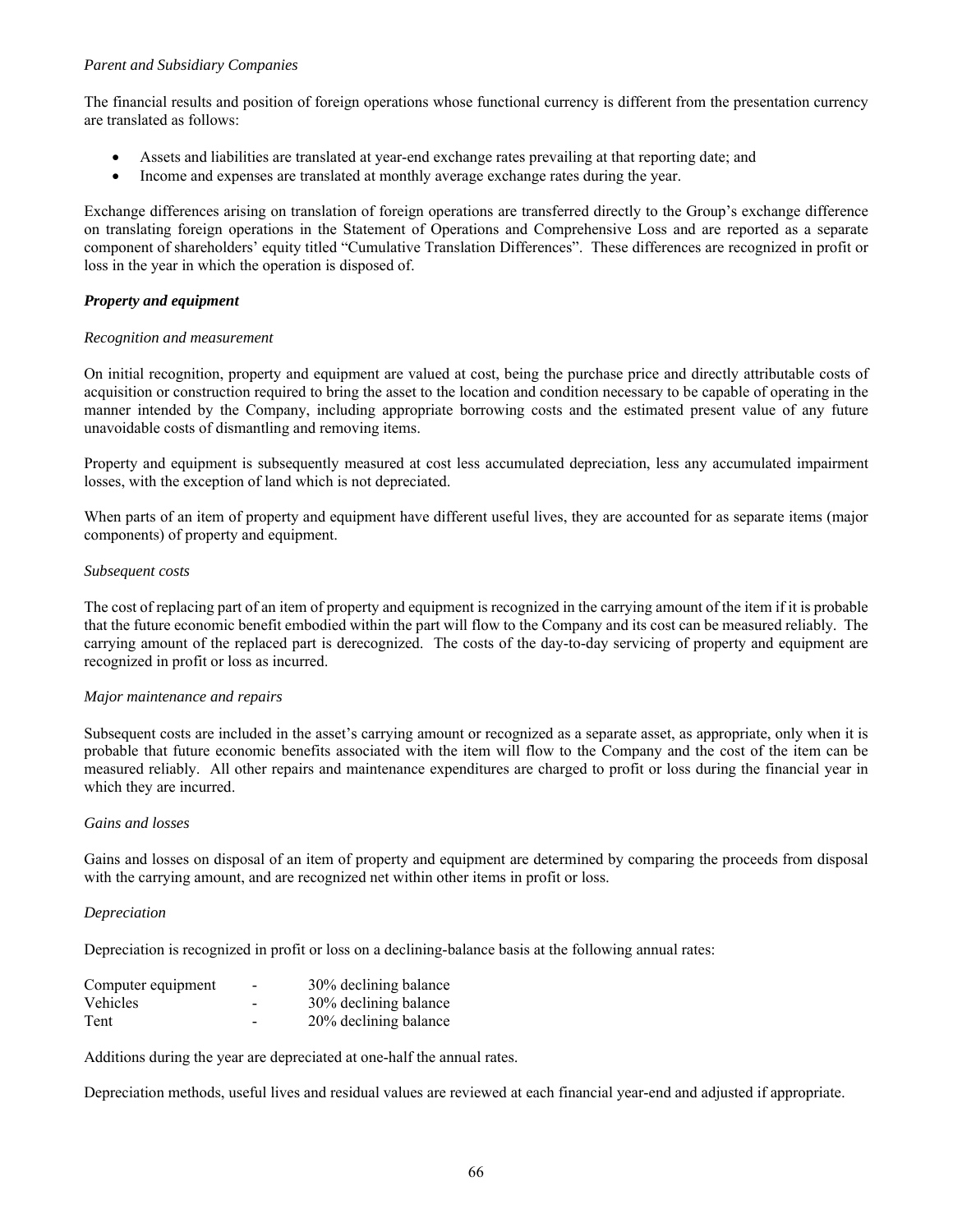## *Parent and Subsidiary Companies*

The financial results and position of foreign operations whose functional currency is different from the presentation currency are translated as follows:

- Assets and liabilities are translated at year-end exchange rates prevailing at that reporting date; and
- Income and expenses are translated at monthly average exchange rates during the year.

Exchange differences arising on translation of foreign operations are transferred directly to the Group's exchange difference on translating foreign operations in the Statement of Operations and Comprehensive Loss and are reported as a separate component of shareholders' equity titled "Cumulative Translation Differences". These differences are recognized in profit or loss in the year in which the operation is disposed of.

# *Property and equipment*

## *Recognition and measurement*

On initial recognition, property and equipment are valued at cost, being the purchase price and directly attributable costs of acquisition or construction required to bring the asset to the location and condition necessary to be capable of operating in the manner intended by the Company, including appropriate borrowing costs and the estimated present value of any future unavoidable costs of dismantling and removing items.

Property and equipment is subsequently measured at cost less accumulated depreciation, less any accumulated impairment losses, with the exception of land which is not depreciated.

When parts of an item of property and equipment have different useful lives, they are accounted for as separate items (major components) of property and equipment.

## *Subsequent costs*

The cost of replacing part of an item of property and equipment is recognized in the carrying amount of the item if it is probable that the future economic benefit embodied within the part will flow to the Company and its cost can be measured reliably. The carrying amount of the replaced part is derecognized. The costs of the day-to-day servicing of property and equipment are recognized in profit or loss as incurred.

## *Major maintenance and repairs*

Subsequent costs are included in the asset's carrying amount or recognized as a separate asset, as appropriate, only when it is probable that future economic benefits associated with the item will flow to the Company and the cost of the item can be measured reliably. All other repairs and maintenance expenditures are charged to profit or loss during the financial year in which they are incurred.

## *Gains and losses*

Gains and losses on disposal of an item of property and equipment are determined by comparing the proceeds from disposal with the carrying amount, and are recognized net within other items in profit or loss.

## *Depreciation*

Depreciation is recognized in profit or loss on a declining-balance basis at the following annual rates:

| Computer equipment | $\overline{\phantom{0}}$ | 30% declining balance |
|--------------------|--------------------------|-----------------------|
| <b>Vehicles</b>    |                          | 30% declining balance |
| Tent               |                          | 20% declining balance |

Additions during the year are depreciated at one-half the annual rates.

Depreciation methods, useful lives and residual values are reviewed at each financial year-end and adjusted if appropriate.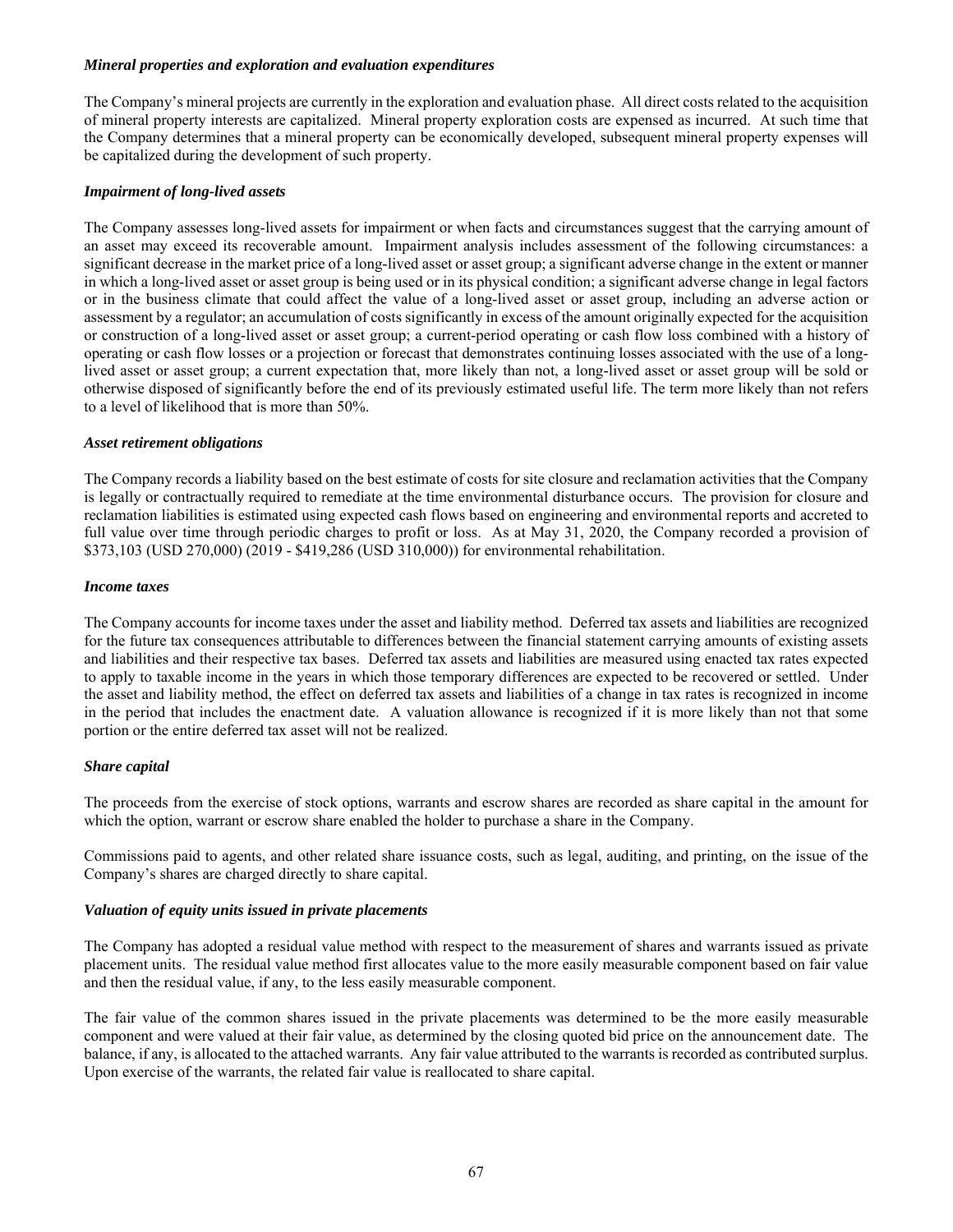### *Mineral properties and exploration and evaluation expenditures*

The Company's mineral projects are currently in the exploration and evaluation phase. All direct costs related to the acquisition of mineral property interests are capitalized. Mineral property exploration costs are expensed as incurred. At such time that the Company determines that a mineral property can be economically developed, subsequent mineral property expenses will be capitalized during the development of such property.

### *Impairment of long-lived assets*

The Company assesses long-lived assets for impairment or when facts and circumstances suggest that the carrying amount of an asset may exceed its recoverable amount. Impairment analysis includes assessment of the following circumstances: a significant decrease in the market price of a long-lived asset or asset group; a significant adverse change in the extent or manner in which a long-lived asset or asset group is being used or in its physical condition; a significant adverse change in legal factors or in the business climate that could affect the value of a long-lived asset or asset group, including an adverse action or assessment by a regulator; an accumulation of costs significantly in excess of the amount originally expected for the acquisition or construction of a long-lived asset or asset group; a current-period operating or cash flow loss combined with a history of operating or cash flow losses or a projection or forecast that demonstrates continuing losses associated with the use of a longlived asset or asset group; a current expectation that, more likely than not, a long-lived asset or asset group will be sold or otherwise disposed of significantly before the end of its previously estimated useful life. The term more likely than not refers to a level of likelihood that is more than 50%.

### *Asset retirement obligations*

The Company records a liability based on the best estimate of costs for site closure and reclamation activities that the Company is legally or contractually required to remediate at the time environmental disturbance occurs. The provision for closure and reclamation liabilities is estimated using expected cash flows based on engineering and environmental reports and accreted to full value over time through periodic charges to profit or loss. As at May 31, 2020, the Company recorded a provision of \$373,103 (USD 270,000) (2019 - \$419,286 (USD 310,000)) for environmental rehabilitation.

### *Income taxes*

The Company accounts for income taxes under the asset and liability method. Deferred tax assets and liabilities are recognized for the future tax consequences attributable to differences between the financial statement carrying amounts of existing assets and liabilities and their respective tax bases. Deferred tax assets and liabilities are measured using enacted tax rates expected to apply to taxable income in the years in which those temporary differences are expected to be recovered or settled. Under the asset and liability method, the effect on deferred tax assets and liabilities of a change in tax rates is recognized in income in the period that includes the enactment date. A valuation allowance is recognized if it is more likely than not that some portion or the entire deferred tax asset will not be realized.

## *Share capital*

The proceeds from the exercise of stock options, warrants and escrow shares are recorded as share capital in the amount for which the option, warrant or escrow share enabled the holder to purchase a share in the Company.

Commissions paid to agents, and other related share issuance costs, such as legal, auditing, and printing, on the issue of the Company's shares are charged directly to share capital.

### *Valuation of equity units issued in private placements*

The Company has adopted a residual value method with respect to the measurement of shares and warrants issued as private placement units. The residual value method first allocates value to the more easily measurable component based on fair value and then the residual value, if any, to the less easily measurable component.

The fair value of the common shares issued in the private placements was determined to be the more easily measurable component and were valued at their fair value, as determined by the closing quoted bid price on the announcement date. The balance, if any, is allocated to the attached warrants. Any fair value attributed to the warrants is recorded as contributed surplus. Upon exercise of the warrants, the related fair value is reallocated to share capital.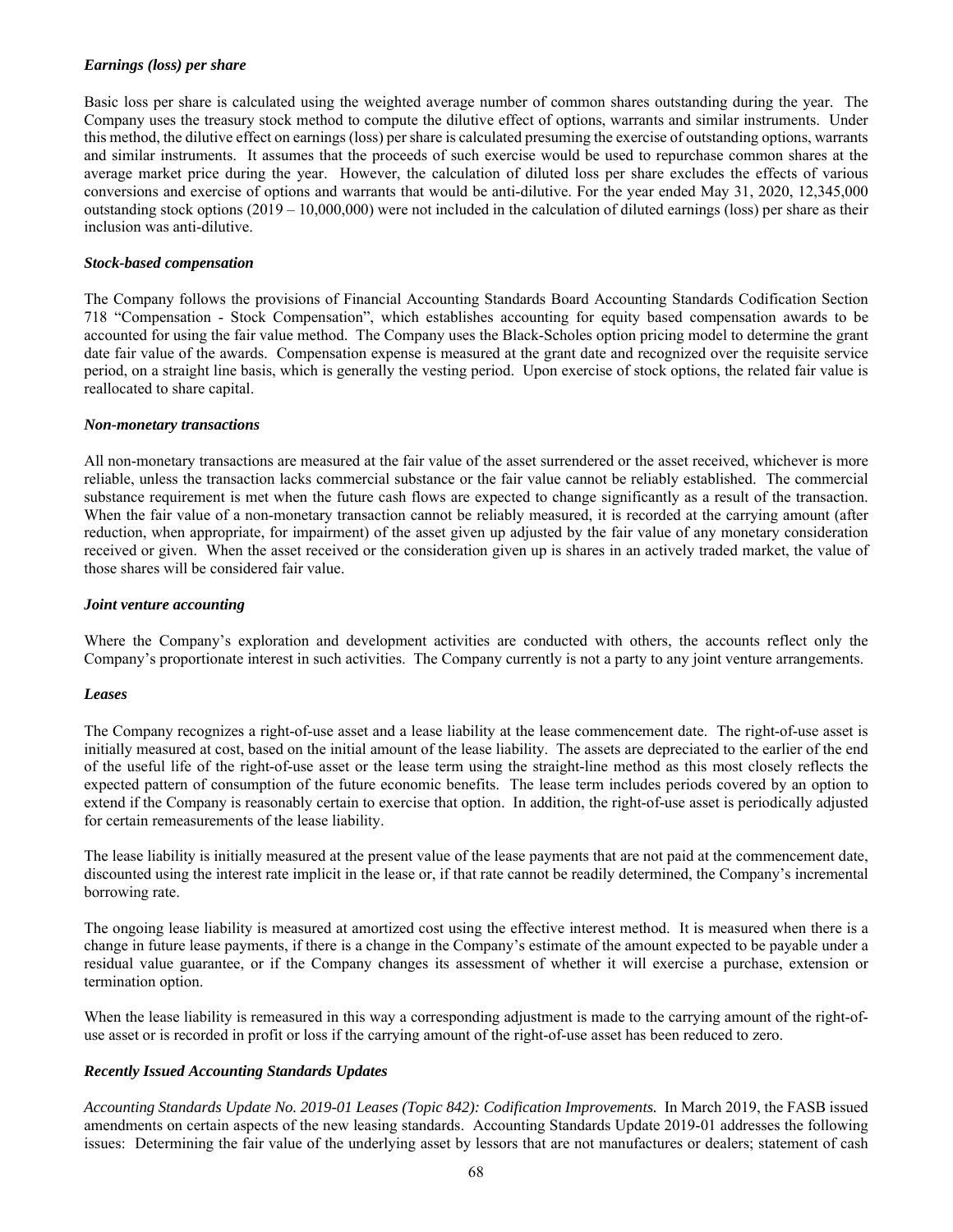## *Earnings (loss) per share*

Basic loss per share is calculated using the weighted average number of common shares outstanding during the year. The Company uses the treasury stock method to compute the dilutive effect of options, warrants and similar instruments. Under this method, the dilutive effect on earnings (loss) per share is calculated presuming the exercise of outstanding options, warrants and similar instruments. It assumes that the proceeds of such exercise would be used to repurchase common shares at the average market price during the year. However, the calculation of diluted loss per share excludes the effects of various conversions and exercise of options and warrants that would be anti-dilutive. For the year ended May 31, 2020, 12,345,000 outstanding stock options  $(2019 - 10,000,000)$  were not included in the calculation of diluted earnings (loss) per share as their inclusion was anti-dilutive.

### *Stock-based compensation*

The Company follows the provisions of Financial Accounting Standards Board Accounting Standards Codification Section 718 "Compensation - Stock Compensation", which establishes accounting for equity based compensation awards to be accounted for using the fair value method. The Company uses the Black-Scholes option pricing model to determine the grant date fair value of the awards. Compensation expense is measured at the grant date and recognized over the requisite service period, on a straight line basis, which is generally the vesting period. Upon exercise of stock options, the related fair value is reallocated to share capital.

### *Non-monetary transactions*

All non-monetary transactions are measured at the fair value of the asset surrendered or the asset received, whichever is more reliable, unless the transaction lacks commercial substance or the fair value cannot be reliably established. The commercial substance requirement is met when the future cash flows are expected to change significantly as a result of the transaction. When the fair value of a non-monetary transaction cannot be reliably measured, it is recorded at the carrying amount (after reduction, when appropriate, for impairment) of the asset given up adjusted by the fair value of any monetary consideration received or given. When the asset received or the consideration given up is shares in an actively traded market, the value of those shares will be considered fair value.

### *Joint venture accounting*

Where the Company's exploration and development activities are conducted with others, the accounts reflect only the Company's proportionate interest in such activities. The Company currently is not a party to any joint venture arrangements.

## *Leases*

The Company recognizes a right-of-use asset and a lease liability at the lease commencement date. The right-of-use asset is initially measured at cost, based on the initial amount of the lease liability. The assets are depreciated to the earlier of the end of the useful life of the right-of-use asset or the lease term using the straight-line method as this most closely reflects the expected pattern of consumption of the future economic benefits. The lease term includes periods covered by an option to extend if the Company is reasonably certain to exercise that option. In addition, the right-of-use asset is periodically adjusted for certain remeasurements of the lease liability.

The lease liability is initially measured at the present value of the lease payments that are not paid at the commencement date, discounted using the interest rate implicit in the lease or, if that rate cannot be readily determined, the Company's incremental borrowing rate.

The ongoing lease liability is measured at amortized cost using the effective interest method. It is measured when there is a change in future lease payments, if there is a change in the Company's estimate of the amount expected to be payable under a residual value guarantee, or if the Company changes its assessment of whether it will exercise a purchase, extension or termination option.

When the lease liability is remeasured in this way a corresponding adjustment is made to the carrying amount of the right-ofuse asset or is recorded in profit or loss if the carrying amount of the right-of-use asset has been reduced to zero.

## *Recently Issued Accounting Standards Updates*

*Accounting Standards Update No. 2019-01 Leases (Topic 842): Codification Improvements.* In March 2019, the FASB issued amendments on certain aspects of the new leasing standards. Accounting Standards Update 2019-01 addresses the following issues: Determining the fair value of the underlying asset by lessors that are not manufactures or dealers; statement of cash